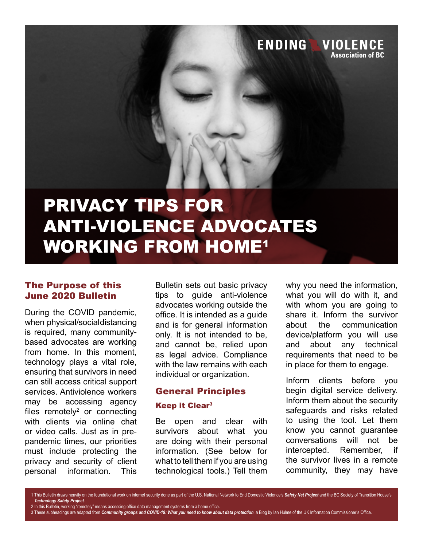

# ANTI-VIOLENCE ADVOCATES WORKING FROM HOME1

#### The Purpose of this June 2020 Bulletin

During the COVID pandemic, when physical/social distancing is required, many communitybased advocates are working from home. In this moment, technology plays a vital role, ensuring that survivors in need can still access critical support services. Antiviolence workers may be accessing agency files remotely<sup>2</sup> or connecting with clients via online chat or video calls. Just as in prepandemic times, our priorities must include protecting the privacy and security of client personal information. This

Bulletin sets out basic privacy tips to guide anti-violence advocates working outside the office. It is intended as a guide and is for general information only. It is not intended to be, and cannot be, relied upon as legal advice. Compliance with the law remains with each individual or organization.

#### General Principles

#### **Keep it Clear<sup>3</sup>**

Be open and clear with survivors about what you are doing with their personal information. (See below for what to tell them if you are using technological tools.) Tell them

why you need the information, what you will do with it, and with whom you are going to share it. Inform the survivor about the communication device/platform you will use and about any technical requirements that need to be in place for them to engage.

Inform clients before you begin digital service delivery. Inform them about the security safeguards and risks related to using the tool. Let them know you cannot guarantee conversations will not be intercepted. Remember, if the survivor lives in a remote community, they may have

1 This Bulletin draws heavily on the foundational work on internet security done as part of the U.S. National Network to End Domestic Violence's *Safety Net Project* and the BC Society of Transition House's *Technology Safety Project*.

2 In this Bulletin, working "remotely" means accessing office data management systems from a home office.

3 These subheadings are adapted from *Community groups and COVID-19: What you need to know about data protection*, a Blog by Ian Hulme of the UK Information Commissioner's Office.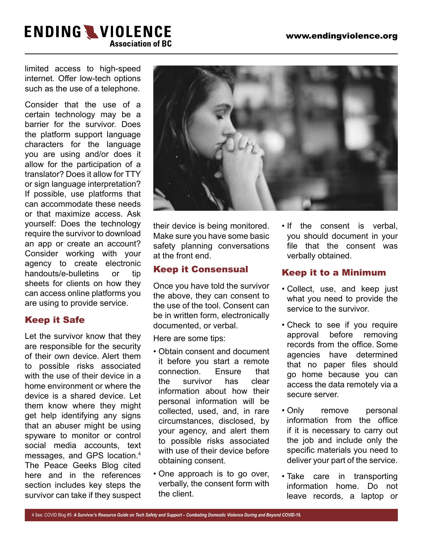limited access to high-speed internet. Offer low-tech options such as the use of a telephone.

Consider that the use of a certain technology may be a barrier for the survivor. Does the platform support language characters for the language you are using and/or does it allow for the participation of a translator? Does it allow for TTY or sign language interpretation? If possible, use platforms that can accommodate these needs or that maximize access. Ask yourself: Does the technology require the survivor to download an app or create an account? Consider working with your agency to create electronic handouts/e-bulletins or tip sheets for clients on how they can access online platforms you are using to provide service.

## Keep it Safe

Let the survivor know that they are responsible for the security of their own device. Alert them to possible risks associated with the use of their device in a home environment or where the device is a shared device. Let them know where they might get help identifying any signs that an abuser might be using spyware to monitor or control social media accounts, text messages, and GPS location.4 The Peace Geeks Blog cited here and in the references section includes key steps the survivor can take if they suspect



their device is being monitored. Make sure you have some basic safety planning conversations at the front end.

## Keep it Consensual

Once you have told the survivor the above, they can consent to the use of the tool. Consent can be in written form, electronically documented, or verbal.

Here are some tips:

- Obtain consent and document it before you start a remote connection. Ensure that the survivor has clear information about how their personal information will be collected, used, and, in rare circumstances, disclosed, by your agency, and alert them to possible risks associated with use of their device before obtaining consent.
- One approach is to go over, verbally, the consent form with the client.

• If the consent is verbal, you should document in your file that the consent was verbally obtained.

## Keep it to a Minimum

- Collect, use, and keep just what you need to provide the service to the survivor.
- Check to see if you require approval before removing records from the office. Some agencies have determined that no paper files should go home because you can access the data remotely via a secure server.
- Only remove personal information from the office if it is necessary to carry out the job and include only the specific materials you need to deliver your part of the service.
- Take care in transporting information home. Do not leave records, a laptop or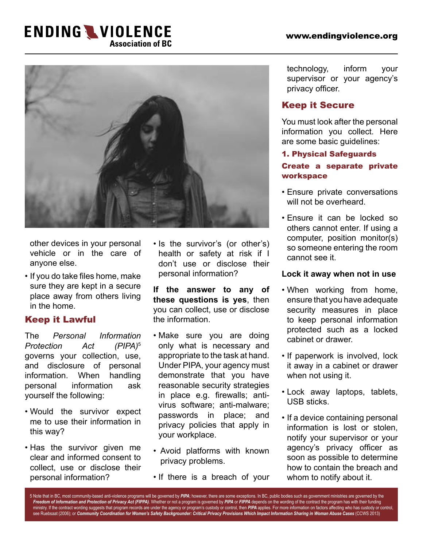

other devices in your personal vehicle or in the care of anyone else.

• If you do take files home, make sure they are kept in a secure place away from others living in the home.

## Keep it Lawful

The *Personal Information Protection Act (PIPA)*<sup>5</sup> governs your collection, use, and disclosure of personal information. When handling personal information ask yourself the following:

- Would the survivor expect me to use their information in this way?
- Has the survivor given me clear and informed consent to collect, use or disclose their personal information?

• Is the survivor's (or other's) health or safety at risk if I don't use or disclose their personal information?

**If the answer to any of these questions is yes**, then you can collect, use or disclose the information.

- Make sure you are doing only what is necessary and appropriate to the task at hand. Under PIPA, your agency must demonstrate that you have reasonable security strategies in place e.g. firewalls; antivirus software; anti-malware; passwords in place; and privacy policies that apply in your workplace.
- Avoid platforms with known privacy problems.
- If there is a breach of your

technology, inform your supervisor or your agency's privacy officer.

## Keep it Secure

You must look after the personal information you collect. Here are some basic guidelines:

#### 1. Physical Safeguards

## Create a separate private workspace

- Ensure private conversations will not be overheard.
- Ensure it can be locked so others cannot enter. If using a computer, position monitor(s) so someone entering the room cannot see it.

#### **Lock it away when not in use**

- When working from home, ensure that you have adequate security measures in place to keep personal information protected such as a locked cabinet or drawer.
- If paperwork is involved, lock it away in a cabinet or drawer when not using it.
- Lock away laptops, tablets, USB sticks.
- If a device containing personal information is lost or stolen, notify your supervisor or your agency's privacy officer as soon as possible to determine how to contain the breach and whom to notify about it.

5 Note that in BC, most community-based anti-violence programs will be governed by PIPA; however, there are some exceptions. In BC, public bodies such as government ministries are governed by the *Freedom of Information and Protection of Privacy Act (FIPPA)*. Whether or not a program is governed by *PIPA* or *FIPPA* depends on the wording of the contract the program has with their funding ministry. If the contract wording suggests that program records are under the agency or program's custody or control, then *PIPA* applies. For more information on factors affecting who has custody or control, see Ruebsaat (2006); or *Community Coordination for Women's Safety Backgrounder: Critical Privacy Provisions Which Impact Information Sharing in Woman Abuse Cases* (CCWS 2013)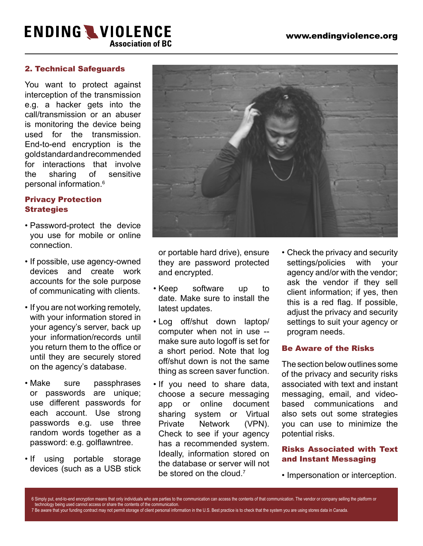#### 2. Technical Safeguards

You want to protect against interception of the transmission e.g. a hacker gets into the call/transmission or an abuser is monitoring the device being used for the transmission. End-to-end encryption is the gold standard and recommended for interactions that involve the sharing of sensitive personal information.6

#### Privacy Protection **Strategies**

- Password-protect the device you use for mobile or online connection.
- If possible, use agency-owned devices and create work accounts for the sole purpose of communicating with clients.
- If you are not working remotely, with your information stored in your agency's server, back up your information/records until you return them to the office or until they are securely stored on the agency's database.
- Make sure passphrases or passwords are unique; use different passwords for each account. Use strong passwords e.g. use three random words together as a password: e.g. golflawntree.
- If using portable storage devices (such as a USB stick



or portable hard drive), ensure they are password protected and encrypted.

- Keep software up to date. Make sure to install the latest updates.
- Log off/shut down laptop/ computer when not in use - make sure auto logoff is set for a short period. Note that log off/shut down is not the same thing as screen saver function.
- If you need to share data, choose a secure messaging app or online document sharing system or Virtual Private Network (VPN). Check to see if your agency has a recommended system. Ideally, information stored on the database or server will not be stored on the cloud  $<sup>7</sup>$ </sup>
- Check the privacy and security settings/policies with your agency and/or with the vendor; ask the vendor if they sell client information; if yes, then this is a red flag. If possible, adjust the privacy and security settings to suit your agency or program needs.

#### Be Aware of the Risks

The section below outlines some of the privacy and security risks associated with text and instant messaging, email, and videobased communications and also sets out some strategies you can use to minimize the potential risks.

#### Risks Associated with Text and Instant Messaging

• Impersonation or interception.

6 Simply put, end-to-end encryption means that only individuals who are parties to the communication can access the contents of that communication. The vendor or company selling the platform or technology being used cannot access or share the contents of the communication. 7 Be aware that your funding contract may not permit storage of client personal information in the U.S. Best practice is to check that the system you are using stores data in Canada.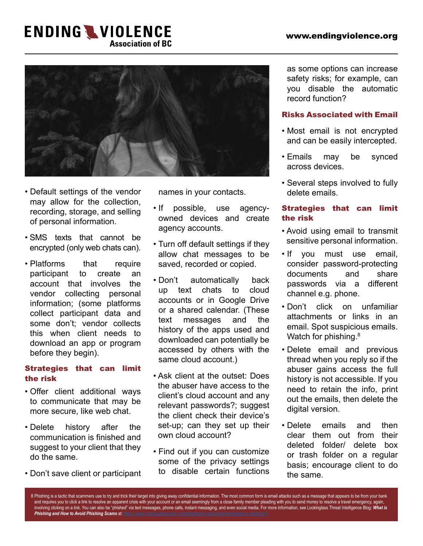

- Default settings of the vendor may allow for the collection, recording, storage, and selling of personal information.
- SMS texts that cannot be encrypted (only web chats can).
- Platforms that require participant to create an account that involves the vendor collecting personal information; (some platforms collect participant data and some don't; vendor collects this when client needs to download an app or program before they begin).

#### Strategies that can limit the risk

- Offer client additional ways to communicate that may be more secure, like web chat.
- Delete history after the communication is finished and suggest to your client that they do the same.
- Don't save client or participant

names in your contacts.

- If possible, use agencyowned devices and create agency accounts.
- Turn off default settings if they allow chat messages to be saved, recorded or copied.
- Don't automatically back up text chats to cloud accounts or in Google Drive or a shared calendar. (These text messages and the history of the apps used and downloaded can potentially be accessed by others with the same cloud account.)
- Ask client at the outset: Does the abuser have access to the client's cloud account and any relevant passwords?; suggest the client check their device's set-up; can they set up their own cloud account?
- Find out if you can customize some of the privacy settings to disable certain functions

as some options can increase safety risks; for example, can you disable the automatic record function?

#### Risks Associated with Email

- Most email is not encrypted and can be easily intercepted.
- Emails may be synced across devices.
- Several steps involved to fully delete emails.

#### Strategies that can limit the risk

- Avoid using email to transmit sensitive personal information.
- If you must use email, consider password-protecting documents and share passwords via a different channel e.g. phone.
- Don't click on unfamiliar attachments or links in an email. Spot suspicious emails. Watch for phishing.<sup>8</sup>
- Delete email and previous thread when you reply so if the abuser gains access the full history is not accessible. If you need to retain the info, print out the emails, then delete the digital version.
- Delete emails and then clear them out from their deleted folder/ delete box or trash folder on a regular basis; encourage client to do the same.

8 Phishing is a tactic that scammers use to try and trick their target into giving away confidential information. The most common form is email attacks such as a message that appears to be from your bank and requires you to click a link to resolve an apparent crisis with your account or an email seemingly from a close family member pleading with you to send money to resolve a travel emergency, again, involving clicking on a link. You can also be "phished" via text messages, phone calls, instant messaging, and even social media. For more information, see Lookinglass Threat Intelligence Blog: *What is Phishing and How to Avoid Phishing Scams* at:<https://www.lookingglasscyber.com/blog/threat-reports/phishing/what-is-phishing/?/>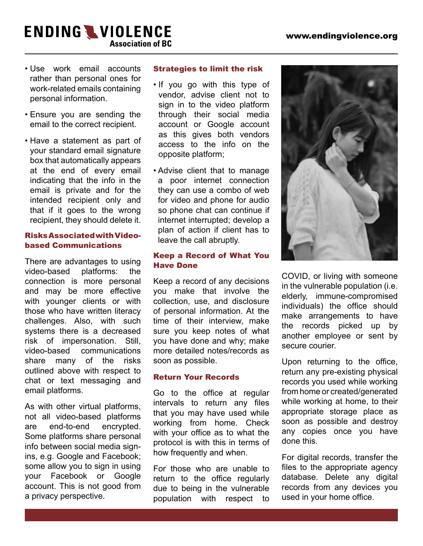- Use work email accounts rather than personal ones for work-related emails containing personal information.
- Ensure you are sending the email to the correct recipient.
- Have a statement as part of your standard email signature box that automatically appears at the end of every email indicating that the info in the email is private and for the intended recipient only and that if it goes to the wrong recipient, they should delete it.

#### Risks Associated with Videobased Communications

There are advantages to using video-based platforms: the connection is more personal and may be more effective with younger clients or with those who have written literacy challenges. Also, with such systems there is a decreased risk of impersonation. Still, video-based communications share many of the risks outlined above with respect to chat or text messaging and email platforms.

As with other virtual platforms, not all video-based platforms are end-to-end encrypted. Some platforms share personal info between social media signins, e.g. Google and Facebook; some allow you to sign in using your Facebook or Google account. This is not good from a privacy perspective.

#### Strategies to limit the risk

- If you go with this type of vendor, advise client not to sign in to the video platform through their social media account or Google account as this gives both vendors access to the info on the opposite platform;
- Advise client that to manage a poor internet connection they can use a combo of web for video and phone for audio so phone chat can continue if internet interrupted; develop a plan of action if client has to leave the call abruptly.

#### Keep a Record of What You Have Done

Keep a record of any decisions you make that involve the collection, use, and disclosure of personal information. At the time of their interview, make sure you keep notes of what you have done and why; make more detailed notes/records as soon as possible.

#### Return Your Records

Go to the office at regular intervals to return any files that you may have used while working from home. Check with your office as to what the protocol is with this in terms of how frequently and when.

For those who are unable to return to the office regularly due to being in the vulnerable population with respect to



COVID, or living with someone in the vulnerable population (i.e. elderly, immune-compromised individuals) the office should make arrangements to have the records picked up by another employee or sent by secure courier.

Upon returning to the office, return any pre-existing physical records you used while working from home or created/generated while working at home, to their appropriate storage place as soon as possible and destroy any copies once you have done this.

For digital records, transfer the files to the appropriate agency database. Delete any digital records from any devices you used in your home office.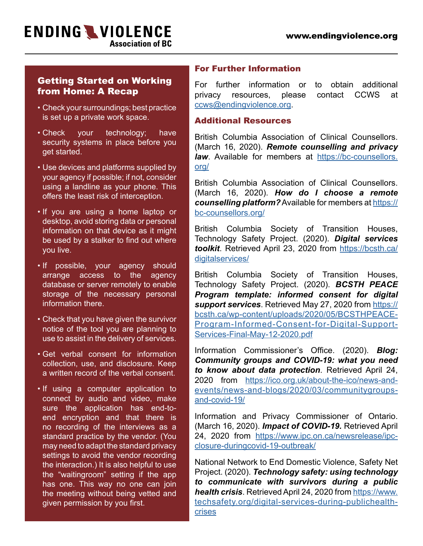## Getting Started on Working from Home: A Recap

- Check your surroundings; best practice is set up a private work space.
- Check your technology; have security systems in place before you get started.
- Use devices and platforms supplied by your agency if possible; if not, consider using a landline as your phone. This offers the least risk of interception.
- If you are using a home laptop or desktop, avoid storing data or personal information on that device as it might be used by a stalker to find out where you live.
- If possible, your agency should arrange access to the agency database or server remotely to enable storage of the necessary personal information there.
- Check that you have given the survivor notice of the tool you are planning to use to assist in the delivery of services.
- Get verbal consent for information collection, use, and disclosure. Keep a written record of the verbal consent.
- If using a computer application to connect by audio and video, make sure the application has end-toend encryption and that there is no recording of the interviews as a standard practice by the vendor. (You may need to adapt the standard privacy settings to avoid the vendor recording the interaction.) It is also helpful to use the "waitingroom" setting if the app has one. This way no one can join the meeting without being vetted and given permission by you first.

#### For Further Information

For further information or to obtain additional privacy resources, please contact CCWS at [ccws@endingviolence.org](mailto:ccws%40endingviolence.org?subject=).

#### Additional Resources

British Columbia Association of Clinical Counsellors. (March 16, 2020). *Remote counselling and privacy law*. Available for members at [https://bc-counsellors.](https://bc-counsellors.org/) [org/](https://bc-counsellors.org/)

British Columbia Association of Clinical Counsellors. (March 16, 2020). *How do I choose a remote counselling platform?* Available for members at [https://](https://bc-counsellors.org/) [bc-counsellors.org/](https://bc-counsellors.org/)

British Columbia Society of Transition Houses, Technology Safety Project. (2020). *Digital services toolkit*. Retrieved April 23, 2020 from [https://bcsth.ca/](https://bcsth.ca/digitalservices/) [digitalservices/](https://bcsth.ca/digitalservices/)

British Columbia Society of Transition Houses, Technology Safety Project. (2020). *BCSTH PEACE Program template: informed consent for digital support services*. Retrieved May 27, 2020 from [https://](https://bcsth.ca/wp-content/uploads/2020/05/BCSTH-PEACE-Program-Informed-Consent-for-Digital-Support-Services-Final-May-12-2020.pdf) [bcsth.ca/wp-content/uploads/2020/05/BCSTHPEACE-](https://bcsth.ca/wp-content/uploads/2020/05/BCSTH-PEACE-Program-Informed-Consent-for-Digital-Support-Services-Final-May-12-2020.pdf)[Program-Informed-Consent-for-Digital-Support-](https://bcsth.ca/wp-content/uploads/2020/05/BCSTH-PEACE-Program-Informed-Consent-for-Digital-Support-Services-Final-May-12-2020.pdf)[Services-Final-May-12-2020.pdf](https://bcsth.ca/wp-content/uploads/2020/05/BCSTH-PEACE-Program-Informed-Consent-for-Digital-Support-Services-Final-May-12-2020.pdf)

Information Commissioner's Office. (2020). *Blog: Community groups and COVID-19: what you need to know about data protection*. Retrieved April 24, 2020 from [https://ico.org.uk/about-the-ico/news-and](https://ico.org.uk/about-the-ico/news-and-events/news-and-blogs/2020/03/community-groups-and-covid-19/)[events/news-and-blogs/2020/03/communitygroups](https://ico.org.uk/about-the-ico/news-and-events/news-and-blogs/2020/03/community-groups-and-covid-19/)[and-covid-19/](https://ico.org.uk/about-the-ico/news-and-events/news-and-blogs/2020/03/community-groups-and-covid-19/)

Information and Privacy Commissioner of Ontario. (March 16, 2020). *Impact of COVID-19.* Retrieved April 24, 2020 from [https://www.ipc.on.ca/newsrelease/ipc](https://www.ipc.on.ca/newsrelease/ipc-closure-during-covid-19-outbreak/)[closure-duringcovid-19-outbreak/](https://www.ipc.on.ca/newsrelease/ipc-closure-during-covid-19-outbreak/)

National Network to End Domestic Violence, Safety Net Project. (2020). *Technology safety: using technology to communicate with survivors during a public health crisis*. Retrieved April 24, 2020 from [https://www.](https://www.techsafety.org/digital-services-during-public-health-crises) [techsafety.org/digital-services-during-publichealth](https://www.techsafety.org/digital-services-during-public-health-crises)[crises](https://www.techsafety.org/digital-services-during-public-health-crises)